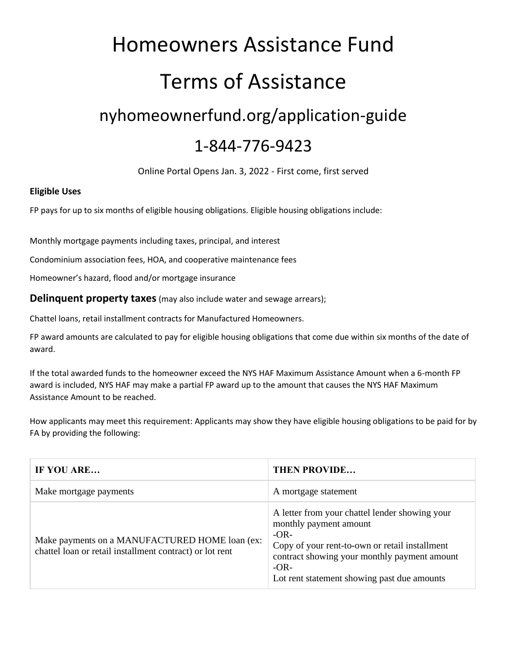## Homeowners Assistance Fund Terms of Assistance nyhomeownerfund.org/application-guide 1-844-776-9423

Online Portal Opens Jan. 3, 2022 - First come, first served

## **Eligible Uses**

FP pays for up to six months of eligible housing obligations. Eligible housing obligations include:

Monthly mortgage payments including taxes, principal, and interest

Condominium association fees, HOA, and cooperative maintenance fees

Homeowner's hazard, flood and/or mortgage insurance

**Delinquent property taxes** (may also include water and sewage arrears);

Chattel loans, retail installment contracts for Manufactured Homeowners.

FP award amounts are calculated to pay for eligible housing obligations that come due within six months of the date of award.

If the total awarded funds to the homeowner exceed the NYS HAF Maximum Assistance Amount when a 6-month FP award is included, NYS HAF may make a partial FP award up to the amount that causes the NYS HAF Maximum Assistance Amount to be reached.

How applicants may meet this requirement: Applicants may show they have eligible housing obligations to be paid for by FA by providing the following:

| IF YOU ARE                                                                                                 | <b>THEN PROVIDE</b>                                                                                                                                                                                                                           |
|------------------------------------------------------------------------------------------------------------|-----------------------------------------------------------------------------------------------------------------------------------------------------------------------------------------------------------------------------------------------|
| Make mortgage payments                                                                                     | A mortgage statement                                                                                                                                                                                                                          |
| Make payments on a MANUFACTURED HOME loan (ex:<br>chattel loan or retail installment contract) or lot rent | A letter from your chattel lender showing your<br>monthly payment amount<br>$-OR-$<br>Copy of your rent-to-own or retail installment<br>contract showing your monthly payment amount<br>$-OR-$<br>Lot rent statement showing past due amounts |